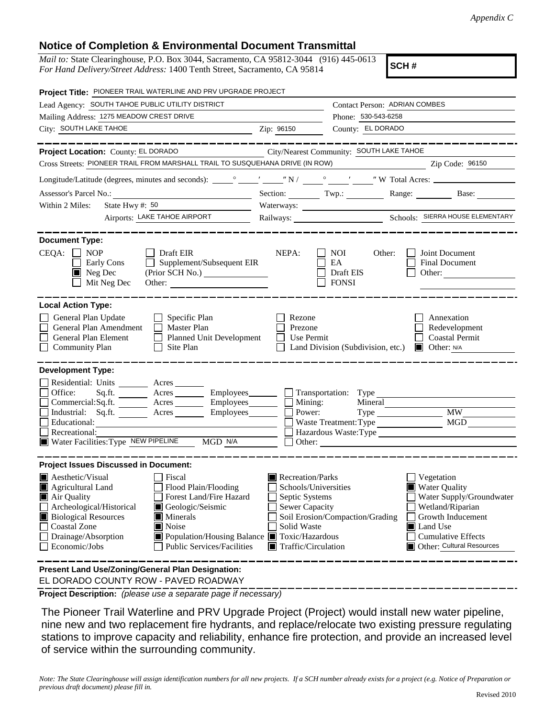## **Notice of Completion & Environmental Document Transmittal**

*Mail to:* State Clearinghouse, P.O. Box 3044, Sacramento, CA 95812-3044 (916) 445-0613 *For Hand Delivery/Street Address:* 1400 Tenth Street, Sacramento, CA 95814

**SCH #**

| Project Title: PIONEER TRAIL WATERLINE AND PRV UPGRADE PROJECT                                                                                                                                                                                                                                                                                                                                                                                                |                                                                                                                    |                                                  |                                                                                                                                                                               |
|---------------------------------------------------------------------------------------------------------------------------------------------------------------------------------------------------------------------------------------------------------------------------------------------------------------------------------------------------------------------------------------------------------------------------------------------------------------|--------------------------------------------------------------------------------------------------------------------|--------------------------------------------------|-------------------------------------------------------------------------------------------------------------------------------------------------------------------------------|
| Lead Agency: SOUTH TAHOE PUBLIC UTILITY DISTRICT                                                                                                                                                                                                                                                                                                                                                                                                              |                                                                                                                    | <b>Contact Person: ADRIAN COMBES</b>             |                                                                                                                                                                               |
| Mailing Address: 1275 MEADOW CREST DRIVE                                                                                                                                                                                                                                                                                                                                                                                                                      |                                                                                                                    | Phone: 530-543-6258                              |                                                                                                                                                                               |
| City: SOUTH LAKE TAHOE<br><u> 1989 - Johann Barbara, martin amerikan basar da</u>                                                                                                                                                                                                                                                                                                                                                                             | Zip: 96150                                                                                                         | County: EL DORADO                                |                                                                                                                                                                               |
|                                                                                                                                                                                                                                                                                                                                                                                                                                                               |                                                                                                                    |                                                  |                                                                                                                                                                               |
| Project Location: County: EL DORADO                                                                                                                                                                                                                                                                                                                                                                                                                           | City/Nearest Community: SOUTH LAKE TAHOE                                                                           |                                                  |                                                                                                                                                                               |
| Cross Streets: PIONEER TRAIL FROM MARSHALL TRAIL TO SUSQUEHANA DRIVE (IN ROW)                                                                                                                                                                                                                                                                                                                                                                                 |                                                                                                                    |                                                  | Zip Code: 96150                                                                                                                                                               |
|                                                                                                                                                                                                                                                                                                                                                                                                                                                               |                                                                                                                    |                                                  |                                                                                                                                                                               |
|                                                                                                                                                                                                                                                                                                                                                                                                                                                               |                                                                                                                    |                                                  | Section: Twp.: Range: Base:                                                                                                                                                   |
| State Hwy $\#$ : 50<br>Within 2 Miles:                                                                                                                                                                                                                                                                                                                                                                                                                        |                                                                                                                    |                                                  |                                                                                                                                                                               |
| Airports: LAKE TAHOE AIRPORT                                                                                                                                                                                                                                                                                                                                                                                                                                  |                                                                                                                    |                                                  |                                                                                                                                                                               |
| <b>Document Type:</b><br>$CEQA: \Box NP$<br>$\Box$ Draft EIR<br>$\Box$ Supplement/Subsequent EIR<br>Early Cons<br>$\blacksquare$ Neg Dec<br>(Prior SCH No.)<br>Mit Neg Dec<br>Other:                                                                                                                                                                                                                                                                          | NEPA:                                                                                                              | NOI<br>Other:<br>EA<br>Draft EIS<br><b>FONSI</b> | Joint Document<br><b>Final Document</b><br>Other:                                                                                                                             |
| <b>Local Action Type:</b><br>General Plan Update<br>$\Box$ Specific Plan<br>General Plan Amendment<br>$\Box$ Master Plan<br><b>General Plan Element</b><br>Planned Unit Development<br><b>Community Plan</b><br>Site Plan<br>$\perp$                                                                                                                                                                                                                          | Rezone<br>Prezone<br>Use Permit<br>$\mathsf{L}$                                                                    | Land Division (Subdivision, etc.)                | Annexation<br>Redevelopment<br><b>Coastal Permit</b><br>$\Box$ Other: N/A                                                                                                     |
| <b>Development Type:</b><br>Residential: Units ________ Acres _______<br>Sq.ft. ________ Acres __________ Employees ________ __ Transportation: Type ___________<br>Office:<br>Commercial:Sq.ft. ________ Acres _________ Employees ________ __ Mining:                                                                                                                                                                                                       | Power:                                                                                                             | Mineral                                          | <b>MW</b>                                                                                                                                                                     |
| Industrial: Sq.ft. _______ Acres ________ Employees________ $\Box$<br>Educational:                                                                                                                                                                                                                                                                                                                                                                            |                                                                                                                    | Waste Treatment: Type                            | MGD                                                                                                                                                                           |
| Recreational:                                                                                                                                                                                                                                                                                                                                                                                                                                                 |                                                                                                                    |                                                  | Hazardous Waste:Type                                                                                                                                                          |
| Water Facilities: Type NEW PIPELINE MGD N/A                                                                                                                                                                                                                                                                                                                                                                                                                   |                                                                                                                    | $\Box$ Other: $\Box$                             |                                                                                                                                                                               |
| <b>Project Issues Discussed in Document:</b><br>$\blacksquare$ Aesthetic/Visual<br>Fiscal<br>Agricultural Land<br>Flood Plain/Flooding<br>Forest Land/Fire Hazard<br>Air Quality<br>Archeological/Historical<br>Geologic/Seismic<br><b>Biological Resources</b><br>$\blacksquare$ Minerals<br><b>Coastal Zone</b><br>$\blacksquare$ Noise<br>Drainage/Absorption<br>Population/Housing Balance Toxic/Hazardous<br>Public Services/Facilities<br>Economic/Jobs | Recreation/Parks<br>Schools/Universities<br>Septic Systems<br>Sewer Capacity<br>Solid Waste<br>Traffic/Circulation | Soil Erosion/Compaction/Grading                  | Vegetation<br><b>Water Quality</b><br>Water Supply/Groundwater<br>Wetland/Riparian<br>Growth Inducement<br>Land Use<br><b>Cumulative Effects</b><br>Other: Cultural Resources |
| Present Land Use/Zoning/General Plan Designation:                                                                                                                                                                                                                                                                                                                                                                                                             |                                                                                                                    |                                                  |                                                                                                                                                                               |

EL DORADO COUNTY ROW - PAVED ROADWAY

**Project Description:** *(please use a separate page if necessary)*

 The Pioneer Trail Waterline and PRV Upgrade Project (Project) would install new water pipeline, nine new and two replacement fire hydrants, and replace/relocate two existing pressure regulating stations to improve capacity and reliability, enhance fire protection, and provide an increased level of service within the surrounding community.

*Note: The State Clearinghouse will assign identification numbers for all new projects. If a SCH number already exists for a project (e.g. Notice of Preparation or previous draft document) please fill in.*